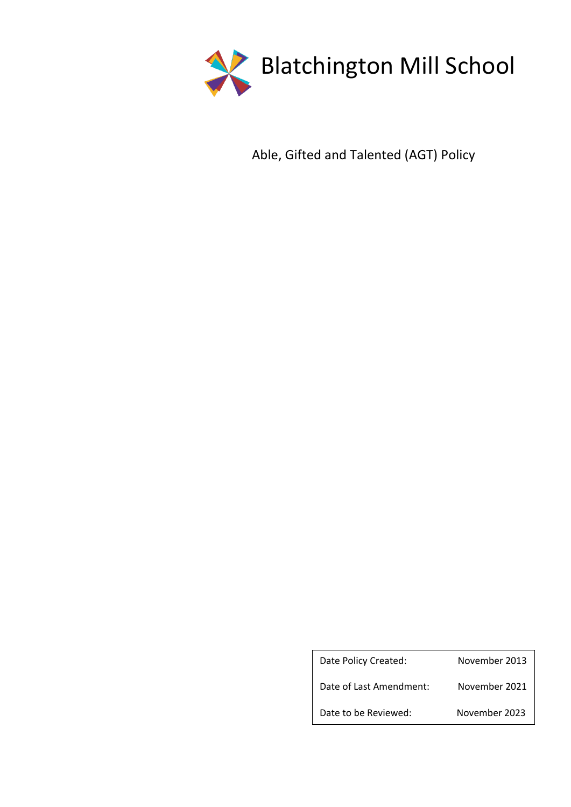

Able, Gifted and Talented (AGT) Policy

| Date Policy Created:    | November 2013 |
|-------------------------|---------------|
| Date of Last Amendment: | November 2021 |
| Date to be Reviewed:    | November 2023 |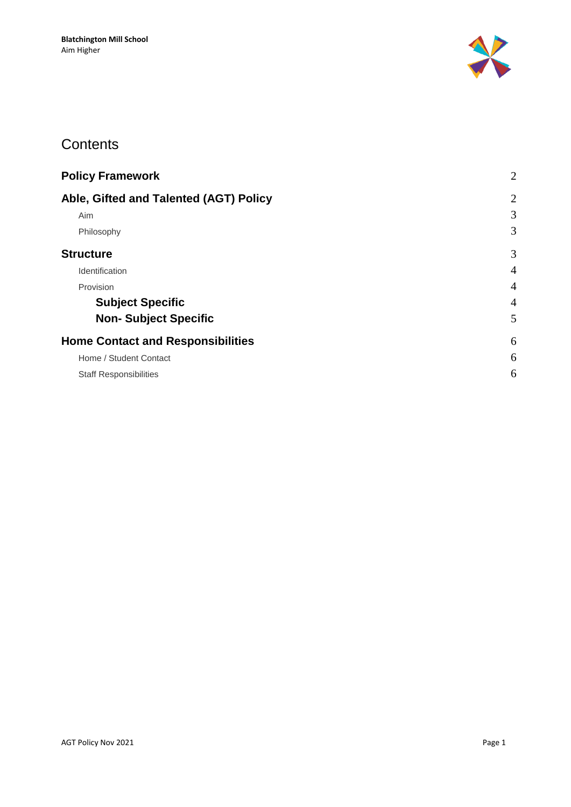

### **Contents**

| $\overline{2}$ |
|----------------|
| $\overline{2}$ |
| 3              |
| 3              |
| 3              |
| $\overline{4}$ |
| $\overline{4}$ |
| $\overline{4}$ |
| 5              |
| 6              |
| 6              |
| 6              |
|                |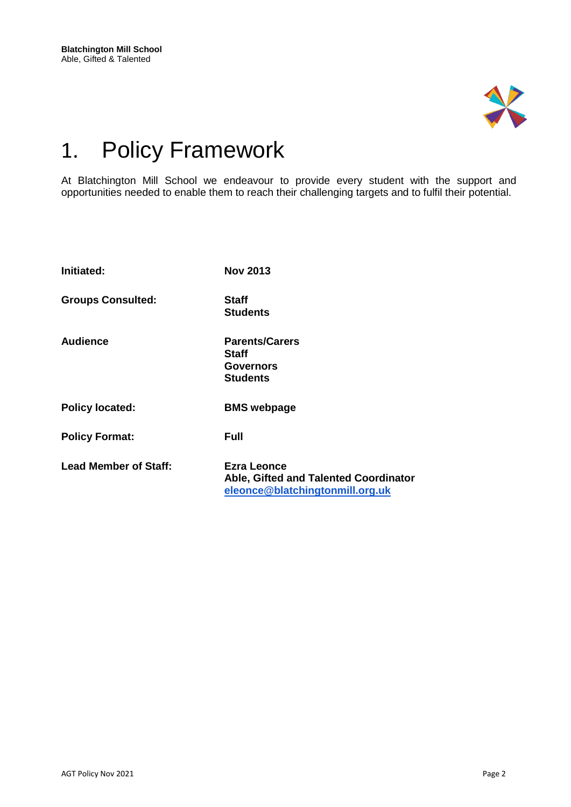

# <span id="page-2-0"></span>1. Policy Framework

At Blatchington Mill School we endeavour to provide every student with the support and opportunities needed to enable them to reach their challenging targets and to fulfil their potential.

<span id="page-2-1"></span>

| Initiated:                   | <b>Nov 2013</b>                                                                                |
|------------------------------|------------------------------------------------------------------------------------------------|
| <b>Groups Consulted:</b>     | <b>Staff</b><br><b>Students</b>                                                                |
| <b>Audience</b>              | <b>Parents/Carers</b><br><b>Staff</b><br><b>Governors</b><br><b>Students</b>                   |
| <b>Policy located:</b>       | <b>BMS</b> webpage                                                                             |
| <b>Policy Format:</b>        | <b>Full</b>                                                                                    |
| <b>Lead Member of Staff:</b> | <b>Ezra Leonce</b><br>Able, Gifted and Talented Coordinator<br>eleonce@blatchingtonmill.org.uk |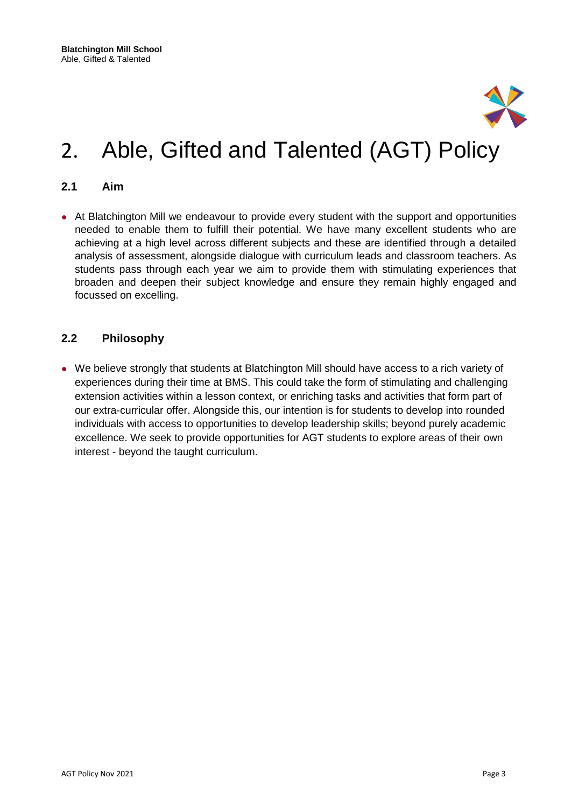

# 2. Able, Gifted and Talented (AGT) Policy

#### <span id="page-3-0"></span>**2.1 Aim**

• At Blatchington Mill we endeavour to provide every student with the support and opportunities needed to enable them to fulfill their potential. We have many excellent students who are achieving at a high level across different subjects and these are identified through a detailed analysis of assessment, alongside dialogue with curriculum leads and classroom teachers. As students pass through each year we aim to provide them with stimulating experiences that broaden and deepen their subject knowledge and ensure they remain highly engaged and focussed on excelling.

#### <span id="page-3-1"></span>**2.2 Philosophy**

<span id="page-3-2"></span>• We believe strongly that students at Blatchington Mill should have access to a rich variety of experiences during their time at BMS. This could take the form of stimulating and challenging extension activities within a lesson context, or enriching tasks and activities that form part of our extra-curricular offer. Alongside this, our intention is for students to develop into rounded individuals with access to opportunities to develop leadership skills; beyond purely academic excellence. We seek to provide opportunities for AGT students to explore areas of their own interest - beyond the taught curriculum.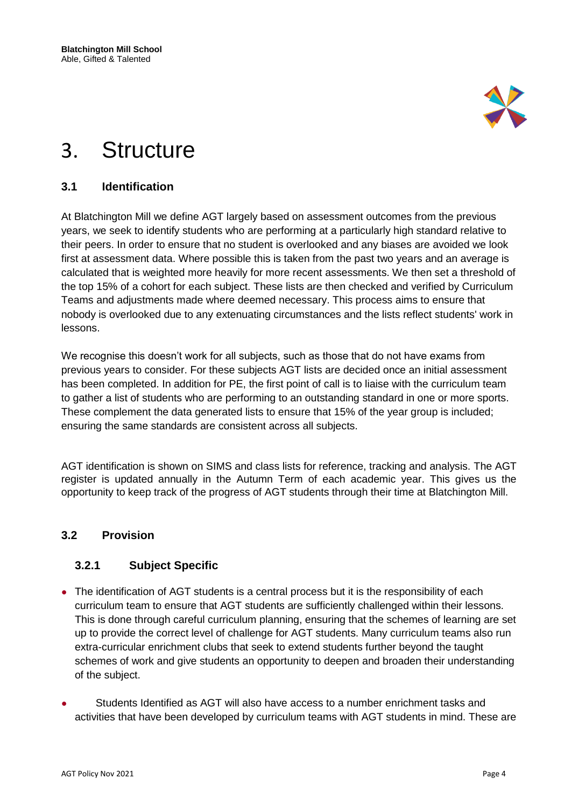

# 3. Structure

### <span id="page-4-0"></span>**3.1 Identification**

At Blatchington Mill we define AGT largely based on assessment outcomes from the previous years, we seek to identify students who are performing at a particularly high standard relative to their peers. In order to ensure that no student is overlooked and any biases are avoided we look first at assessment data. Where possible this is taken from the past two years and an average is calculated that is weighted more heavily for more recent assessments. We then set a threshold of the top 15% of a cohort for each subject. These lists are then checked and verified by Curriculum Teams and adjustments made where deemed necessary. This process aims to ensure that nobody is overlooked due to any extenuating circumstances and the lists reflect students' work in lessons.

We recognise this doesn't work for all subjects, such as those that do not have exams from previous years to consider. For these subjects AGT lists are decided once an initial assessment has been completed. In addition for PE, the first point of call is to liaise with the curriculum team to gather a list of students who are performing to an outstanding standard in one or more sports. These complement the data generated lists to ensure that 15% of the year group is included; ensuring the same standards are consistent across all subjects.

AGT identification is shown on SIMS and class lists for reference, tracking and analysis. The AGT register is updated annually in the Autumn Term of each academic year. This gives us the opportunity to keep track of the progress of AGT students through their time at Blatchington Mill.

### <span id="page-4-1"></span>**3.2 Provision**

### <span id="page-4-2"></span>**3.2.1 Subject Specific**

- The identification of AGT students is a central process but it is the responsibility of each curriculum team to ensure that AGT students are sufficiently challenged within their lessons. This is done through careful curriculum planning, ensuring that the schemes of learning are set up to provide the correct level of challenge for AGT students. Many curriculum teams also run extra-curricular enrichment clubs that seek to extend students further beyond the taught schemes of work and give students an opportunity to deepen and broaden their understanding of the subject.
- Students Identified as AGT will also have access to a number enrichment tasks and activities that have been developed by curriculum teams with AGT students in mind. These are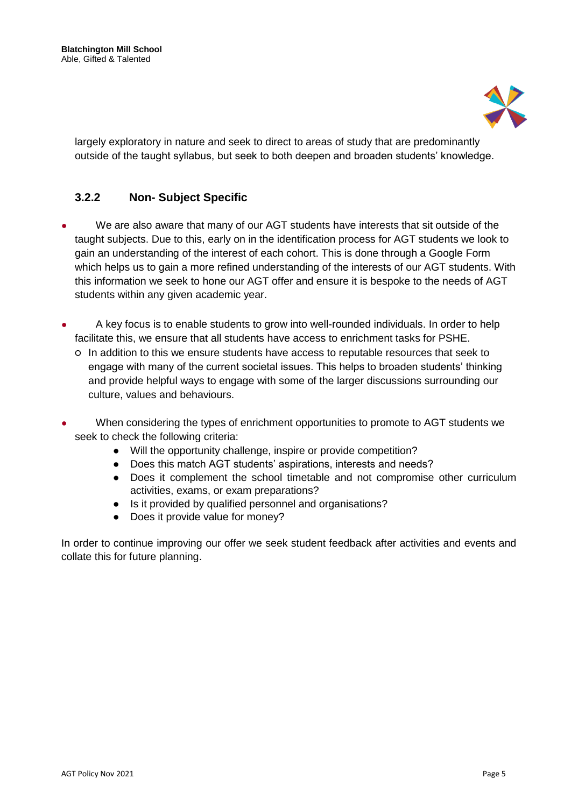

largely exploratory in nature and seek to direct to areas of study that are predominantly outside of the taught syllabus, but seek to both deepen and broaden students' knowledge.

### <span id="page-5-0"></span>**3.2.2 Non- Subject Specific**

- We are also aware that many of our AGT students have interests that sit outside of the taught subjects. Due to this, early on in the identification process for AGT students we look to gain an understanding of the interest of each cohort. This is done through a Google Form which helps us to gain a more refined understanding of the interests of our AGT students. With this information we seek to hone our AGT offer and ensure it is bespoke to the needs of AGT students within any given academic year.
- A key focus is to enable students to grow into well-rounded individuals. In order to help facilitate this, we ensure that all students have access to enrichment tasks for PSHE.
	- In addition to this we ensure students have access to reputable resources that seek to engage with many of the current societal issues. This helps to broaden students' thinking and provide helpful ways to engage with some of the larger discussions surrounding our culture, values and behaviours.
- When considering the types of enrichment opportunities to promote to AGT students we seek to check the following criteria:
	- Will the opportunity challenge, inspire or provide competition?
	- Does this match AGT students' aspirations, interests and needs?
	- Does it complement the school timetable and not compromise other curriculum activities, exams, or exam preparations?
	- Is it provided by qualified personnel and organisations?
	- Does it provide value for money?

In order to continue improving our offer we seek student feedback after activities and events and collate this for future planning.